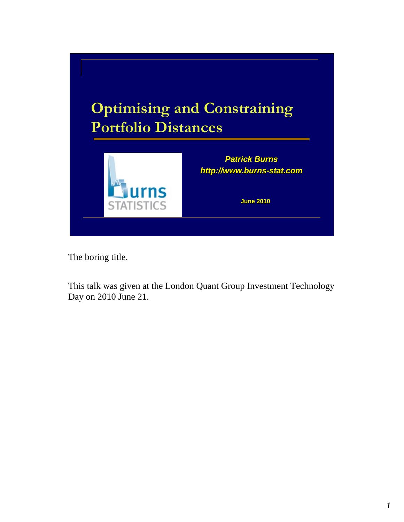

The boring title.

This talk was given at the London Quant Group Investment Technology Day on 2010 June 21.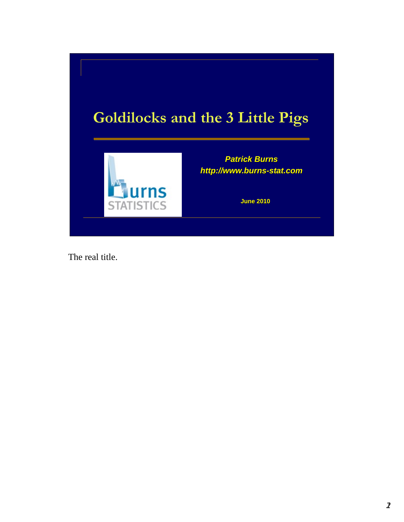

The real title.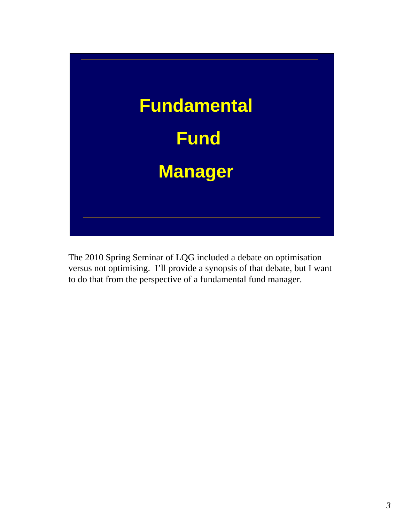

The 2010 Spring Seminar of LQG included a debate on optimisation versus not optimising. I'll provide a synopsis of that debate, but I want to do that from the perspective of a fundamental fund manager.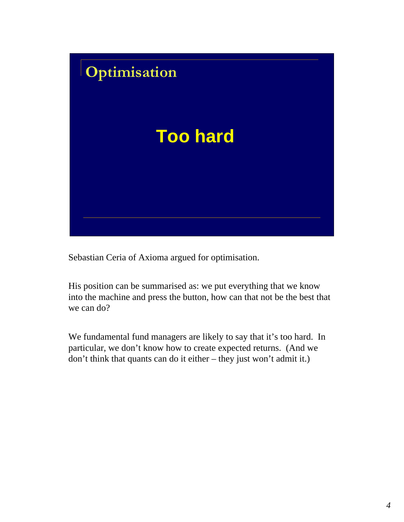

Sebastian Ceria of Axioma argued for optimisation.

His position can be summarised as: we put everything that we know into the machine and press the button, how can that not be the best that we can do?

We fundamental fund managers are likely to say that it's too hard. In particular, we don't know how to create expected returns. (And we don't think that quants can do it either – they just won't admit it.)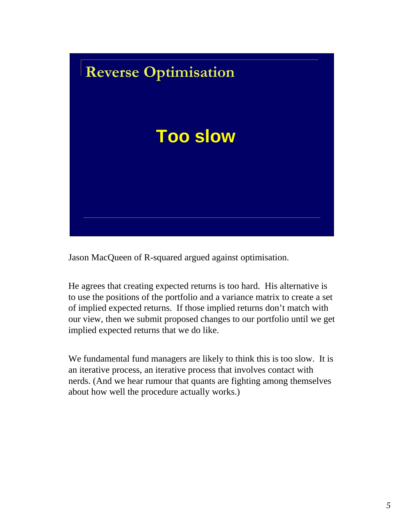

Jason MacQueen of R-squared argued against optimisation.

He agrees that creating expected returns is too hard. His alternative is to use the positions of the portfolio and a variance matrix to create a set of implied expected returns. If those implied returns don't match with our view, then we submit proposed changes to our portfolio until we get implied expected returns that we do like.

We fundamental fund managers are likely to think this is too slow. It is an iterative process, an iterative process that involves contact with nerds. (And we hear rumour that quants are fighting among themselves about how well the procedure actually works.)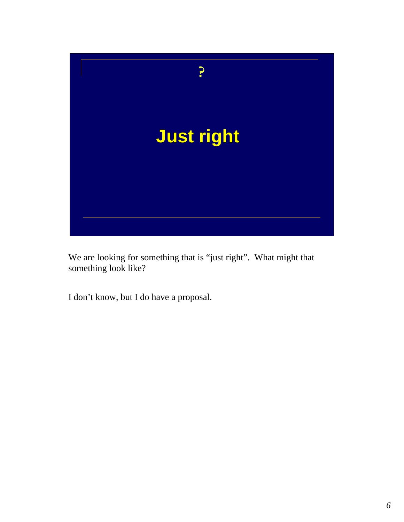

We are looking for something that is "just right". What might that something look like?

I don't know, but I do have a proposal.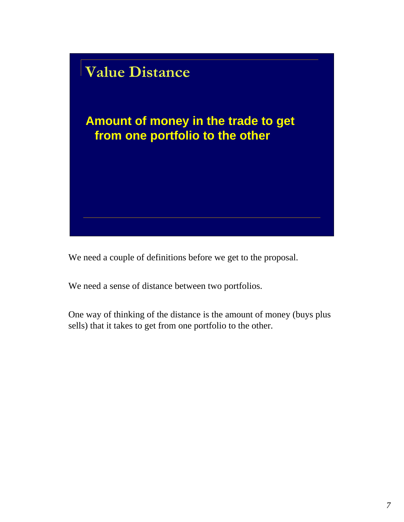

We need a couple of definitions before we get to the proposal.

We need a sense of distance between two portfolios.

One way of thinking of the distance is the amount of money (buys plus sells) that it takes to get from one portfolio to the other.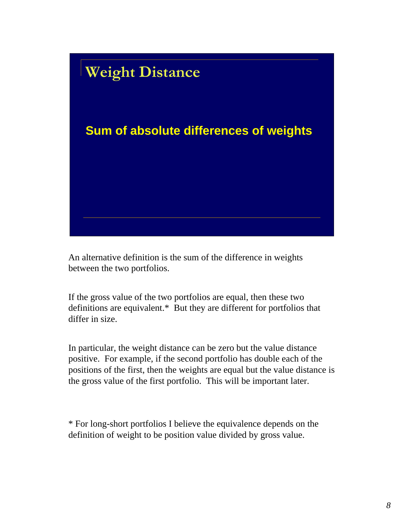

An alternative definition is the sum of the difference in weights between the two portfolios.

If the gross value of the two portfolios are equal, then these two definitions are equivalent.\* But they are different for portfolios that differ in size.

In particular, the weight distance can be zero but the value distance positive. For example, if the second portfolio has double each of the positions of the first, then the weights are equal but the value distance is the gross value of the first portfolio. This will be important later.

\* For long-short portfolios I believe the equivalence depends on the definition of weight to be position value divided by gross value.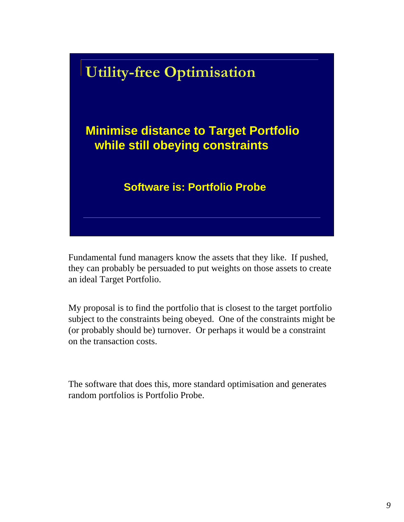

Fundamental fund managers know the assets that they like. If pushed, they can probably be persuaded to put weights on those assets to create an ideal Target Portfolio.

My proposal is to find the portfolio that is closest to the target portfolio subject to the constraints being obeyed. One of the constraints might be (or probably should be) turnover. Or perhaps it would be a constraint on the transaction costs.

The software that does this, more standard optimisation and generates random portfolios is Portfolio Probe.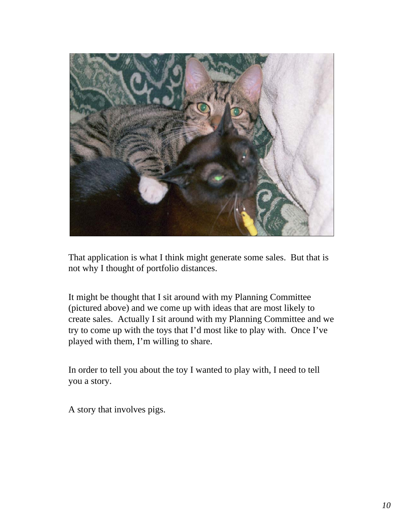

That application is what I think might generate some sales. But that is not why I thought of portfolio distances.

It might be thought that I sit around with my Planning Committee (pictured above) and we come up with ideas that are most likely to create sales. Actually I sit around with my Planning Committee and we try to come up with the toys that I'd most like to play with. Once I've played with them, I'm willing to share.

In order to tell you about the toy I wanted to play with, I need to tell you a story.

A story that involves pigs.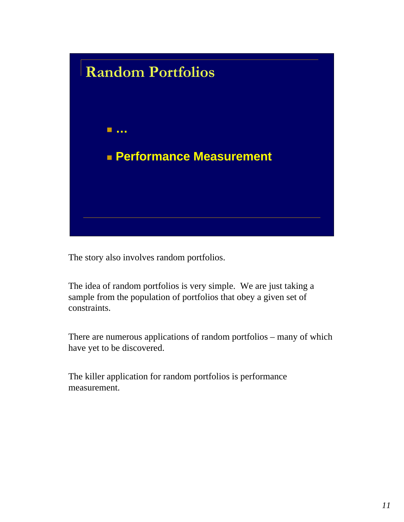

The story also involves random portfolios.

The idea of random portfolios is very simple. We are just taking a sample from the population of portfolios that obey a given set of constraints.

There are numerous applications of random portfolios – many of which have yet to be discovered.

The killer application for random portfolios is performance measurement.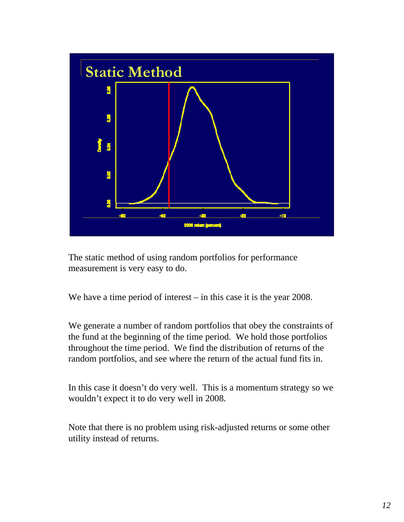

The static method of using random portfolios for performance measurement is very easy to do.

We have a time period of interest – in this case it is the year 2008.

We generate a number of random portfolios that obey the constraints of the fund at the beginning of the time period. We hold those portfolios throughout the time period. We find the distribution of returns of the random portfolios, and see where the return of the actual fund fits in.

In this case it doesn't do very well. This is a momentum strategy so we wouldn't expect it to do very well in 2008.

Note that there is no problem using risk-adjusted returns or some other utility instead of returns.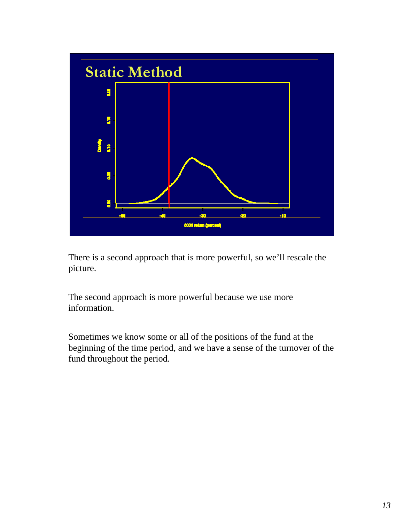

There is a second approach that is more powerful, so we'll rescale the picture.

The second approach is more powerful because we use more information.

Sometimes we know some or all of the positions of the fund at the beginning of the time period, and we have a sense of the turnover of the fund throughout the period.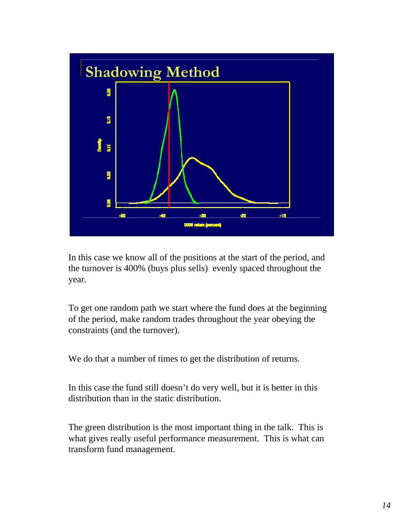

In this case we know all of the positions at the start of the period, and the turnover is 400% (buys plus sells) evenly spaced throughout the year.

To get one random path we start where the fund does at the beginning of the period, make random trades throughout the year obeying the constraints (and the turnover).

We do that a number of times to get the distribution of returns.

In this case the fund still doesn't do very well, but it is better in this distribution than in the static distribution.

The green distribution is the most important thing in the talk. This is what gives really useful performance measurement. This is what can transform fund management.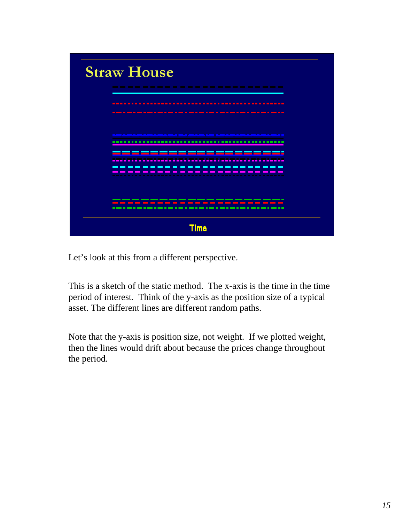

Let's look at this from a different perspective.

This is a sketch of the static method. The x-axis is the time in the time period of interest. Think of the y-axis as the position size of a typical asset. The different lines are different random paths.

Note that the y-axis is position size, not weight. If we plotted weight, then the lines would drift about because the prices change throughout the period.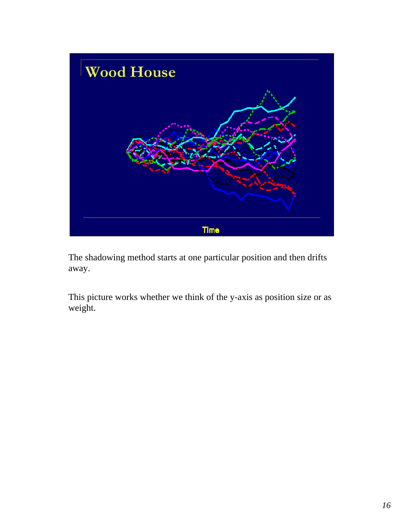

The shadowing method starts at one particular position and then drifts away.

This picture works whether we think of the y-axis as position size or as weight.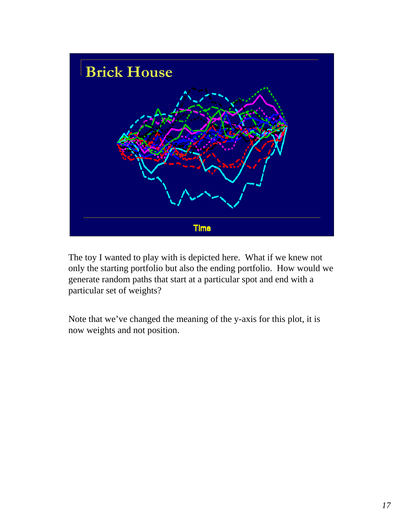

The toy I wanted to play with is depicted here. What if we knew not only the starting portfolio but also the ending portfolio. How would we generate random paths that start at a particular spot and end with a particular set of weights?

Note that we've changed the meaning of the y-axis for this plot, it is now weights and not position.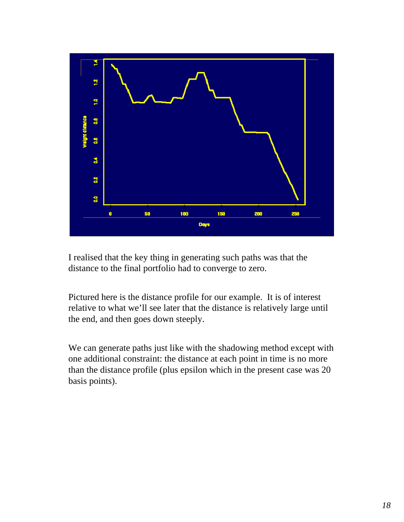

I realised that the key thing in generating such paths was that the distance to the final portfolio had to converge to zero.

Pictured here is the distance profile for our example. It is of interest relative to what we'll see later that the distance is relatively large until the end, and then goes down steeply.

We can generate paths just like with the shadowing method except with one additional constraint: the distance at each point in time is no more than the distance profile (plus epsilon which in the present case was 20 basis points).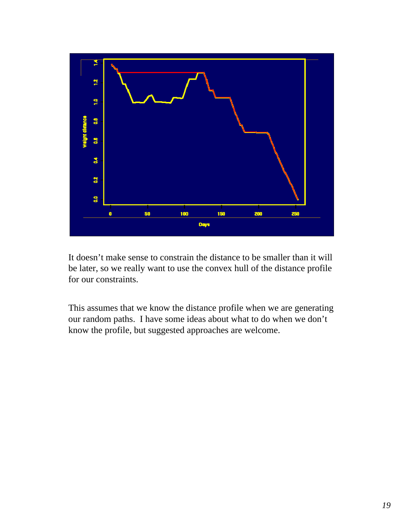

It doesn't make sense to constrain the distance to be smaller than it will be later, so we really want to use the convex hull of the distance profile for our constraints.

This assumes that we know the distance profile when we are generating our random paths. I have some ideas about what to do when we don't know the profile, but suggested approaches are welcome.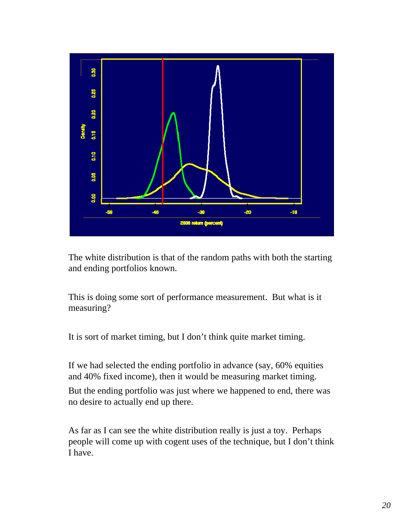

The white distribution is that of the random paths with both the starting and ending portfolios known.

This is doing some sort of performance measurement. But what is it measuring?

It is sort of market timing, but I don't think quite market timing.

If we had selected the ending portfolio in advance (say, 60% equities and 40% fixed income), then it would be measuring market timing.

But the ending portfolio was just where we happened to end, there was no desire to actually end up there.

As far as I can see the white distribution really is just a toy. Perhaps people will come up with cogent uses of the technique, but I don't think I have.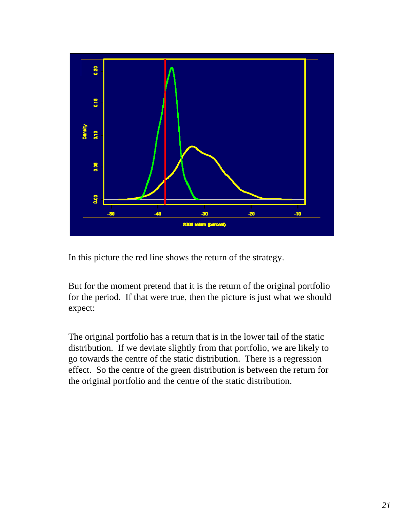

In this picture the red line shows the return of the strategy.

But for the moment pretend that it is the return of the original portfolio for the period. If that were true, then the picture is just what we should expect:

The original portfolio has a return that is in the lower tail of the static distribution. If we deviate slightly from that portfolio, we are likely to go towards the centre of the static distribution. There is a regression effect. So the centre of the green distribution is between the return for the original portfolio and the centre of the static distribution.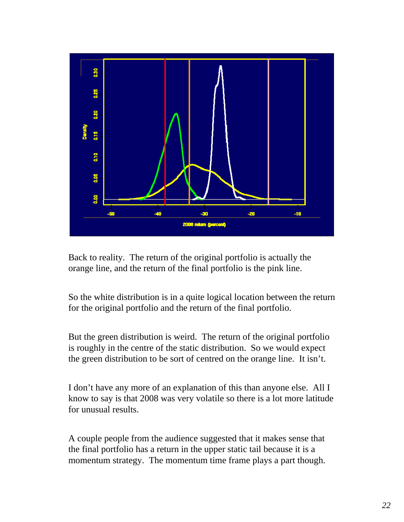

Back to reality. The return of the original portfolio is actually the orange line, and the return of the final portfolio is the pink line.

So the white distribution is in a quite logical location between the return for the original portfolio and the return of the final portfolio.

But the green distribution is weird. The return of the original portfolio is roughly in the centre of the static distribution. So we would expect the green distribution to be sort of centred on the orange line. It isn't.

I don't have any more of an explanation of this than anyone else. All I know to say is that 2008 was very volatile so there is a lot more latitude for unusual results.

A couple people from the audience suggested that it makes sense that the final portfolio has a return in the upper static tail because it is a momentum strategy. The momentum time frame plays a part though.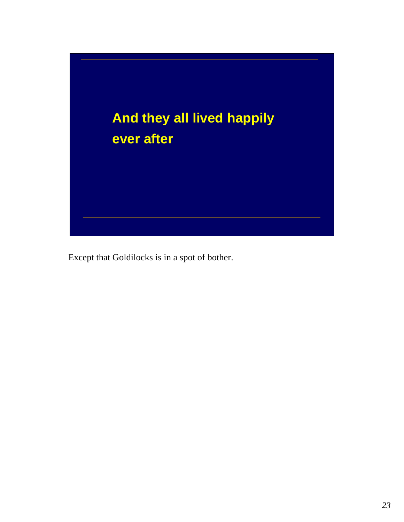

Except that Goldilocks is in a spot of bother.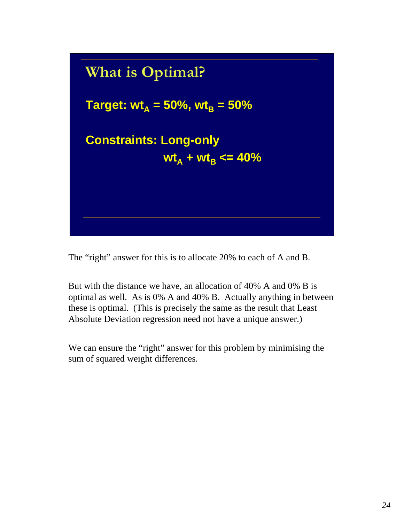

The "right" answer for this is to allocate 20% to each of A and B.

But with the distance we have, an allocation of 40% A and 0% B is optimal as well. As is 0% A and 40% B. Actually anything in between these is optimal. (This is precisely the same as the result that Least Absolute Deviation regression need not have a unique answer.)

We can ensure the "right" answer for this problem by minimising the sum of squared weight differences.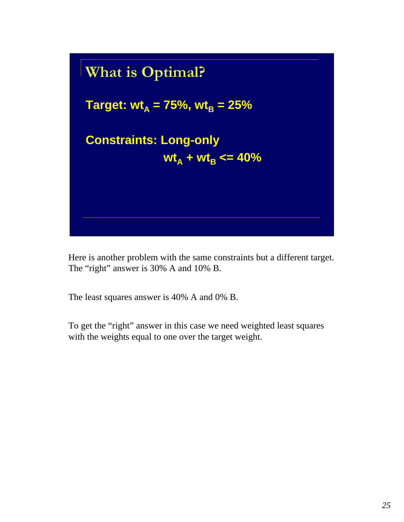

Here is another problem with the same constraints but a different target. The "right" answer is 30% A and 10% B.

The least squares answer is 40% A and 0% B.

To get the "right" answer in this case we need weighted least squares with the weights equal to one over the target weight.